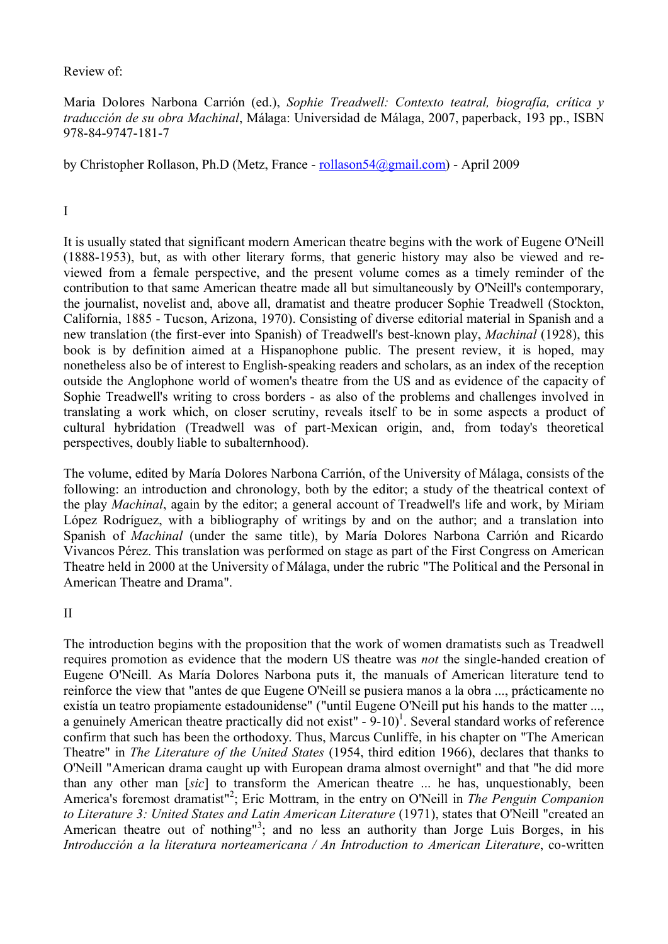### Review of:

Maria Dolores Narbona Carrión (ed.), *Sophie Treadwell: Contexto teatral, biografía, crítica y traducción de su obra Machinal*, Málaga: Universidad de Málaga, 2007, paperback, 193 pp., ISBN 978-84-9747-181-7

by Christopher Rollason, Ph.D (Metz, France - rollason54@gmail.com) - April 2009

# I

It is usually stated that significant modern American theatre begins with the work of Eugene O'Neill (1888-1953), but, as with other literary forms, that generic history may also be viewed and reviewed from a female perspective, and the present volume comes as a timely reminder of the contribution to that same American theatre made all but simultaneously by O'Neill's contemporary, the journalist, novelist and, above all, dramatist and theatre producer Sophie Treadwell (Stockton, California, 1885 - Tucson, Arizona, 1970). Consisting of diverse editorial material in Spanish and a new translation (the first-ever into Spanish) of Treadwell's best-known play, *Machinal* (1928), this book is by definition aimed at a Hispanophone public. The present review, it is hoped, may nonetheless also be of interest to English-speaking readers and scholars, as an index of the reception outside the Anglophone world of women's theatre from the US and as evidence of the capacity of Sophie Treadwell's writing to cross borders - as also of the problems and challenges involved in translating a work which, on closer scrutiny, reveals itself to be in some aspects a product of cultural hybridation (Treadwell was of part-Mexican origin, and, from today's theoretical perspectives, doubly liable to subalternhood).

The volume, edited by María Dolores Narbona Carrión, of the University of Málaga, consists of the following: an introduction and chronology, both by the editor; a study of the theatrical context of the play *Machinal*, again by the editor; a general account of Treadwell's life and work, by Miriam López Rodríguez, with a bibliography of writings by and on the author; and a translation into Spanish of *Machinal* (under the same title), by María Dolores Narbona Carrión and Ricardo Vivancos Pérez. This translation was performed on stage as part of the First Congress on American Theatre held in 2000 at the University of Málaga, under the rubric "The Political and the Personal in American Theatre and Drama".

### II

The introduction begins with the proposition that the work of women dramatists such as Treadwell requires promotion as evidence that the modern US theatre was *not* the single-handed creation of Eugene O'Neill. As María Dolores Narbona puts it, the manuals of American literature tend to reinforce the view that "antes de que Eugene O'Neill se pusiera manos a la obra ..., prácticamente no existía un teatro propiamente estadounidense" ("until Eugene O'Neill put his hands to the matter ..., a genuinely American theatre practically did not exist"  $-9-10$ <sup>1</sup>. Several standard works of reference confirm that such has been the orthodoxy. Thus, Marcus Cunliffe, in his chapter on "The American Theatre" in *The Literature of the United States* (1954, third edition 1966), declares that thanks to O'Neill "American drama caught up with European drama almost overnight" and that "he did more than any other man [*sic*] to transform the American theatre ... he has, unquestionably, been America's foremost dramatist" 2 ; Eric Mottram, in the entry on O'Neill in *The Penguin Companion to Literature 3: United States and Latin American Literature* (1971), states that O'Neill "created an American theatre out of nothing"<sup>3</sup>; and no less an authority than Jorge Luis Borges, in his *Introducción a la literatura norteamericana / An Introduction to American Literature*, co-written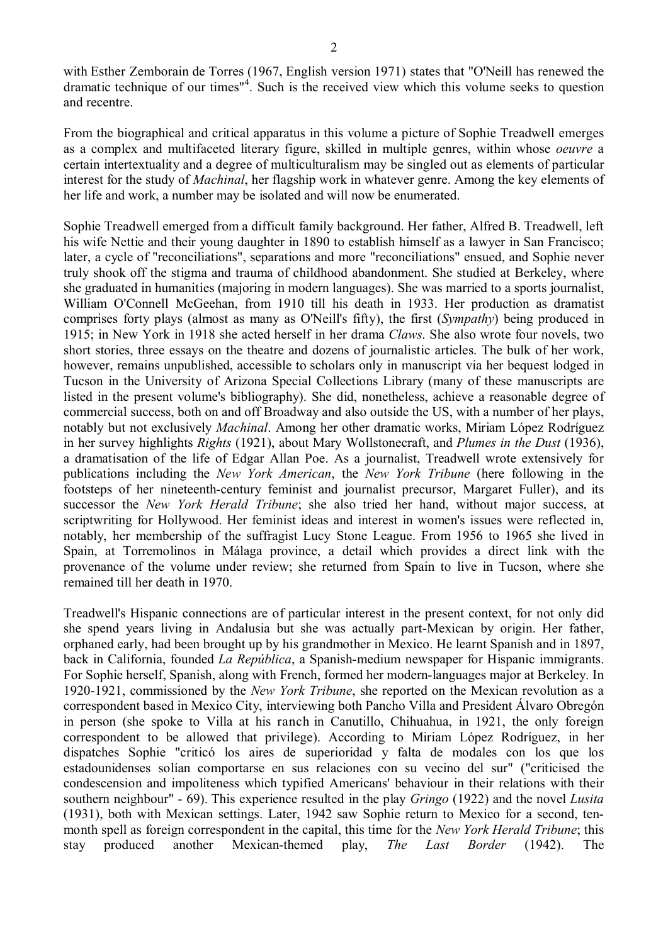with Esther Zemborain de Torres (1967, English version 1971) states that "O'Neill has renewed the dramatic technique of our times" 4 . Such is the received view which this volume seeks to question and recentre.

From the biographical and critical apparatus in this volume a picture of Sophie Treadwell emerges as a complex and multifaceted literary figure, skilled in multiple genres, within whose *oeuvre* a certain intertextuality and a degree of multiculturalism may be singled out as elements of particular interest for the study of *Machinal*, her flagship work in whatever genre. Among the key elements of her life and work, a number may be isolated and will now be enumerated.

Sophie Treadwell emerged from a difficult family background. Her father, Alfred B. Treadwell, left his wife Nettie and their young daughter in 1890 to establish himself as a lawyer in San Francisco; later, a cycle of "reconciliations", separations and more "reconciliations" ensued, and Sophie never truly shook off the stigma and trauma of childhood abandonment. She studied at Berkeley, where she graduated in humanities (majoring in modern languages). She was married to a sports journalist, William O'Connell McGeehan, from 1910 till his death in 1933. Her production as dramatist comprises forty plays (almost as many as O'Neill's fifty), the first (*Sympathy*) being produced in 1915; in New York in 1918 she acted herself in her drama *Claws*. She also wrote four novels, two short stories, three essays on the theatre and dozens of journalistic articles. The bulk of her work, however, remains unpublished, accessible to scholars only in manuscript via her bequest lodged in Tucson in the University of Arizona Special Collections Library (many of these manuscripts are listed in the present volume's bibliography). She did, nonetheless, achieve a reasonable degree of commercial success, both on and off Broadway and also outside the US, with a number of her plays, notably but not exclusively *Machinal*. Among her other dramatic works, Miriam López Rodríguez in her survey highlights *Rights* (1921), about Mary Wollstonecraft, and *Plumes in the Dust* (1936), a dramatisation of the life of Edgar Allan Poe. As a journalist, Treadwell wrote extensively for publications including the *New York American*, the *New York Tribune* (here following in the footsteps of her nineteenth-century feminist and journalist precursor, Margaret Fuller), and its successor the *New York Herald Tribune*; she also tried her hand, without major success, at scriptwriting for Hollywood. Her feminist ideas and interest in women's issues were reflected in, notably, her membership of the suffragist Lucy Stone League. From 1956 to 1965 she lived in Spain, at Torremolinos in Málaga province, a detail which provides a direct link with the provenance of the volume under review; she returned from Spain to live in Tucson, where she remained till her death in 1970.

Treadwell's Hispanic connections are of particular interest in the present context, for not only did she spend years living in Andalusia but she was actually part-Mexican by origin. Her father, orphaned early, had been brought up by his grandmother in Mexico. He learnt Spanish and in 1897, back in California, founded *La República*, a Spanish-medium newspaper for Hispanic immigrants. For Sophie herself, Spanish, along with French, formed her modern-languages major at Berkeley. In 1920-1921, commissioned by the *New York Tribune*, she reported on the Mexican revolution as a correspondent based in Mexico City, interviewing both Pancho Villa and President Álvaro Obregón in person (she spoke to Villa at his ranch in Canutillo, Chihuahua, in 1921, the only foreign correspondent to be allowed that privilege). According to Miriam López Rodríguez, in her dispatches Sophie "criticó los aires de superioridad y falta de modales con los que los estadounidenses solían comportarse en sus relaciones con su vecino del sur" ("criticised the condescension and impoliteness which typified Americans' behaviour in their relations with their southern neighbour" - 69). This experience resulted in the play *Gringo* (1922) and the novel *Lusita* (1931), both with Mexican settings. Later, 1942 saw Sophie return to Mexico for a second, tenmonth spell as foreign correspondent in the capital, this time for the *New York Herald Tribune*; this stay produced another Mexican-themed play, *The Last Border* (1942). The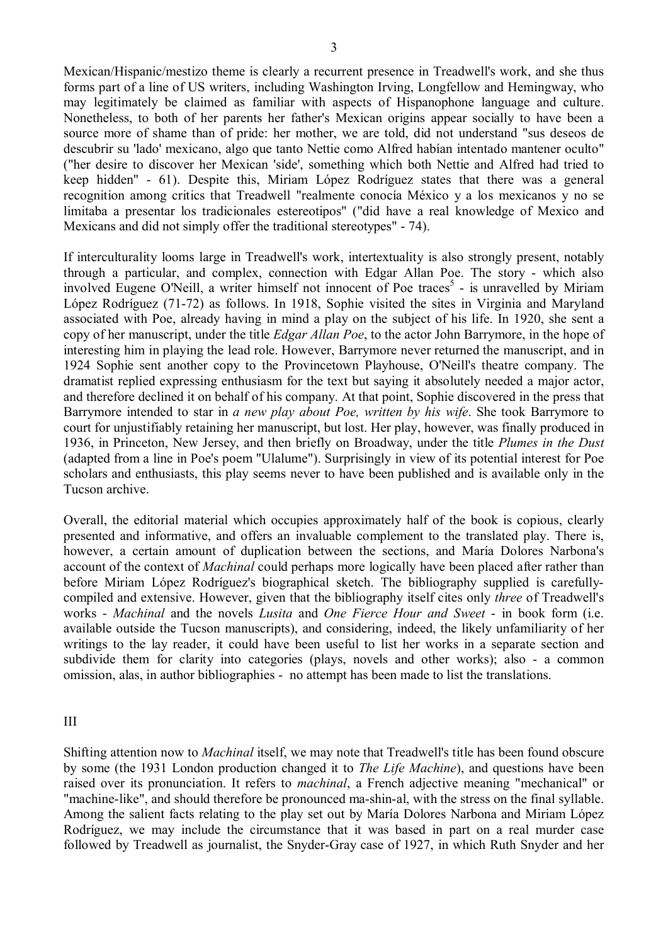Mexican/Hispanic/mestizo theme is clearly a recurrent presence in Treadwell's work, and she thus forms part of a line of US writers, including Washington Irving, Longfellow and Hemingway, who may legitimately be claimed as familiar with aspects of Hispanophone language and culture. Nonetheless, to both of her parents her father's Mexican origins appear socially to have been a source more of shame than of pride: her mother, we are told, did not understand "sus deseos de descubrir su 'lado' mexicano, algo que tanto Nettie como Alfred habían intentado mantener oculto" ("her desire to discover her Mexican 'side', something which both Nettie and Alfred had tried to keep hidden" - 61). Despite this, Miriam López Rodríguez states that there was a general recognition among critics that Treadwell "realmente conocía México y a los mexicanos y no se limitaba a presentar los tradicionales estereotipos" ("did have a real knowledge of Mexico and Mexicans and did not simply offer the traditional stereotypes" - 74).

If interculturality looms large in Treadwell's work, intertextuality is also strongly present, notably through a particular, and complex, connection with Edgar Allan Poe. The story - which also involved Eugene O'Neill, a writer himself not innocent of Poe traces<sup>5</sup> - is unravelled by Miriam López Rodríguez (71-72) as follows. In 1918, Sophie visited the sites in Virginia and Maryland associated with Poe, already having in mind a play on the subject of his life. In 1920, she sent a copy of her manuscript, under the title *Edgar Allan Poe*, to the actor John Barrymore, in the hope of interesting him in playing the lead role. However, Barrymore never returned the manuscript, and in 1924 Sophie sent another copy to the Provincetown Playhouse, O'Neill's theatre company. The dramatist replied expressing enthusiasm for the text but saying it absolutely needed a major actor, and therefore declined it on behalf of his company. At that point, Sophie discovered in the press that Barrymore intended to star in *a new play about Poe, written by his wife*. She took Barrymore to court for unjustifiably retaining her manuscript, but lost. Her play, however, was finally produced in 1936, in Princeton, New Jersey, and then briefly on Broadway, under the title *Plumes in the Dust*  (adapted from a line in Poe's poem "Ulalume"). Surprisingly in view of its potential interest for Poe scholars and enthusiasts, this play seems never to have been published and is available only in the Tucson archive.

Overall, the editorial material which occupies approximately half of the book is copious, clearly presented and informative, and offers an invaluable complement to the translated play. There is, however, a certain amount of duplication between the sections, and María Dolores Narbona's account of the context of *Machinal* could perhaps more logically have been placed after rather than before Miriam López Rodríguez's biographical sketch. The bibliography supplied is carefullycompiled and extensive. However, given that the bibliography itself cites only *three* of Treadwell's works - *Machinal* and the novels *Lusita* and *One Fierce Hour and Sweet* - in book form (i.e. available outside the Tucson manuscripts), and considering, indeed, the likely unfamiliarity of her writings to the lay reader, it could have been useful to list her works in a separate section and subdivide them for clarity into categories (plays, novels and other works); also - a common omission, alas, in author bibliographies - no attempt has been made to list the translations.

III

Shifting attention now to *Machinal* itself, we may note that Treadwell's title has been found obscure by some (the 1931 London production changed it to *The Life Machine*), and questions have been raised over its pronunciation. It refers to *machinal*, a French adjective meaning "mechanical" or "machine-like", and should therefore be pronounced ma-shin-al, with the stress on the final syllable. Among the salient facts relating to the play set out by María Dolores Narbona and Miriam López Rodríguez, we may include the circumstance that it was based in part on a real murder case followed by Treadwell as journalist, the Snyder-Gray case of 1927, in which Ruth Snyder and her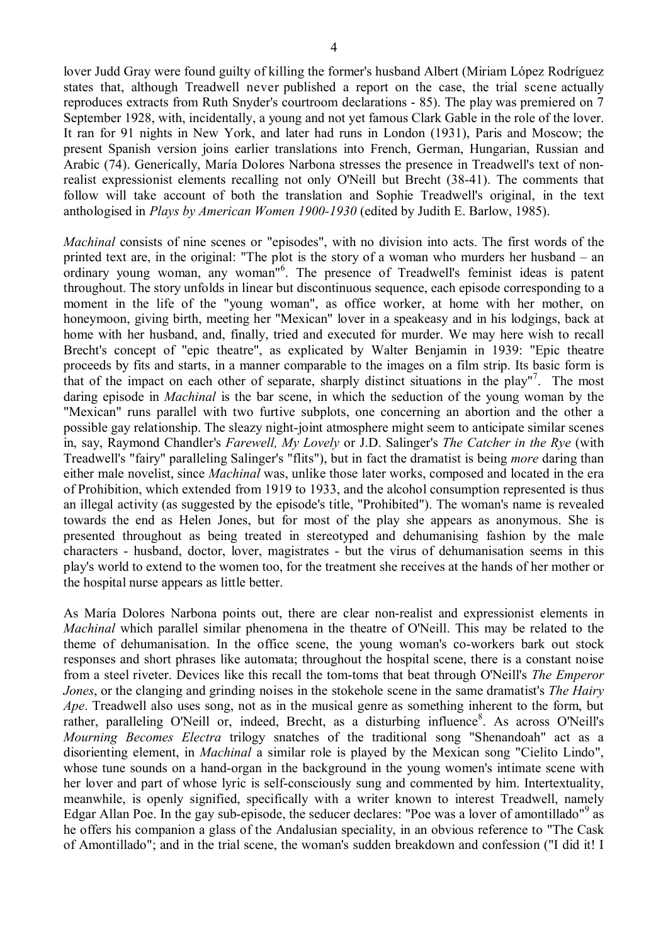lover Judd Gray were found guilty of killing the former's husband Albert (Miriam López Rodríguez states that, although Treadwell never published a report on the case, the trial scene actually reproduces extracts from Ruth Snyder's courtroom declarations - 85). The play was premiered on 7 September 1928, with, incidentally, a young and not yet famous Clark Gable in the role of the lover. It ran for 91 nights in New York, and later had runs in London (1931), Paris and Moscow; the present Spanish version joins earlier translations into French, German, Hungarian, Russian and Arabic (74). Generically, María Dolores Narbona stresses the presence in Treadwell's text of nonrealist expressionist elements recalling not only O'Neill but Brecht (38-41). The comments that follow will take account of both the translation and Sophie Treadwell's original, in the text anthologised in *Plays by American Women 1900-1930* (edited by Judith E. Barlow, 1985).

*Machinal* consists of nine scenes or "episodes", with no division into acts. The first words of the printed text are, in the original: "The plot is the story of a woman who murders her husband – an ordinary young woman, any woman"<sup>6</sup>. The presence of Treadwell's feminist ideas is patent throughout. The story unfolds in linear but discontinuous sequence, each episode corresponding to a moment in the life of the "young woman", as office worker, at home with her mother, on honeymoon, giving birth, meeting her "Mexican" lover in a speakeasy and in his lodgings, back at home with her husband, and, finally, tried and executed for murder. We may here wish to recall Brecht's concept of "epic theatre", as explicated by Walter Benjamin in 1939: "Epic theatre proceeds by fits and starts, in a manner comparable to the images on a film strip. Its basic form is that of the impact on each other of separate, sharply distinct situations in the play"<sup>7</sup>. The most daring episode in *Machinal* is the bar scene, in which the seduction of the young woman by the "Mexican" runs parallel with two furtive subplots, one concerning an abortion and the other a possible gay relationship. The sleazy night-joint atmosphere might seem to anticipate similar scenes in, say, Raymond Chandler's *Farewell, My Lovely* or J.D. Salinger's *The Catcher in the Rye* (with Treadwell's "fairy" paralleling Salinger's "flits"), but in fact the dramatist is being *more* daring than either male novelist, since *Machinal* was, unlike those later works, composed and located in the era of Prohibition, which extended from 1919 to 1933, and the alcohol consumption represented is thus an illegal activity (as suggested by the episode's title, "Prohibited"). The woman's name is revealed towards the end as Helen Jones, but for most of the play she appears as anonymous. She is presented throughout as being treated in stereotyped and dehumanising fashion by the male characters - husband, doctor, lover, magistrates - but the virus of dehumanisation seems in this play's world to extend to the women too, for the treatment she receives at the hands of her mother or the hospital nurse appears as little better.

As María Dolores Narbona points out, there are clear non-realist and expressionist elements in *Machinal* which parallel similar phenomena in the theatre of O'Neill. This may be related to the theme of dehumanisation. In the office scene, the young woman's co-workers bark out stock responses and short phrases like automata; throughout the hospital scene, there is a constant noise from a steel riveter. Devices like this recall the tom-toms that beat through O'Neill's *The Emperor Jones*, or the clanging and grinding noises in the stokehole scene in the same dramatist's *The Hairy Ape*. Treadwell also uses song, not as in the musical genre as something inherent to the form, but rather, paralleling O'Neill or, indeed, Brecht, as a disturbing influence<sup>8</sup>. As across O'Neill's *Mourning Becomes Electra* trilogy snatches of the traditional song "Shenandoah" act as a disorienting element, in *Machinal* a similar role is played by the Mexican song "Cielito Lindo", whose tune sounds on a hand-organ in the background in the young women's intimate scene with her lover and part of whose lyric is self-consciously sung and commented by him. Intertextuality, meanwhile, is openly signified, specifically with a writer known to interest Treadwell, namely Edgar Allan Poe. In the gay sub-episode, the seducer declares: "Poe was a lover of amontillado"<sup>9</sup> as he offers his companion a glass of the Andalusian speciality, in an obvious reference to "The Cask of Amontillado"; and in the trial scene, the woman's sudden breakdown and confession ("I did it! I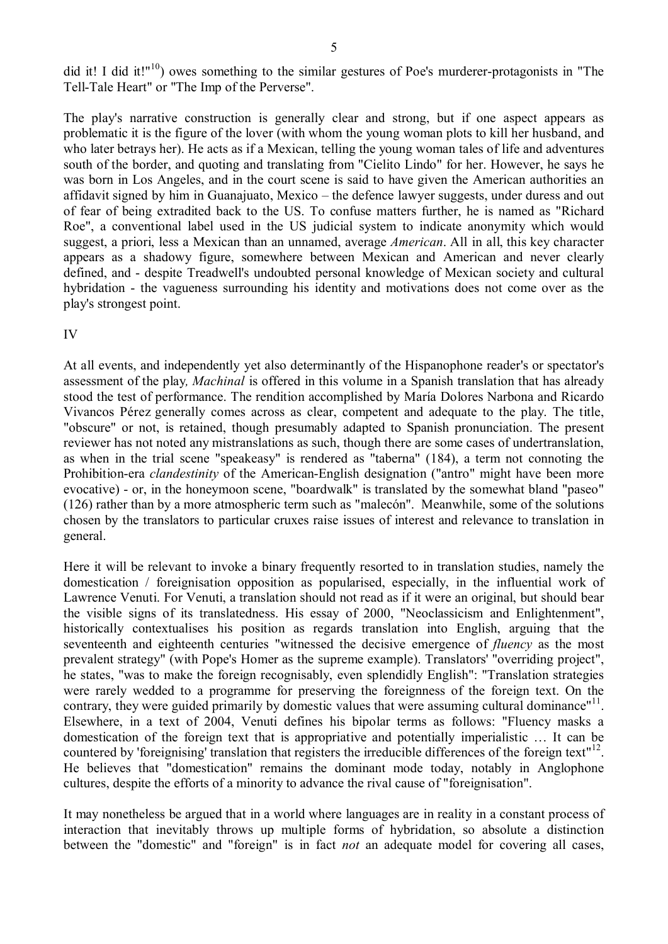did it! I did it!"<sup>10</sup>) owes something to the similar gestures of Poe's murderer-protagonists in "The Tell-Tale Heart" or "The Imp of the Perverse".

The play's narrative construction is generally clear and strong, but if one aspect appears as problematic it is the figure of the lover (with whom the young woman plots to kill her husband, and who later betrays her). He acts as if a Mexican, telling the young woman tales of life and adventures south of the border, and quoting and translating from "Cielito Lindo" for her. However, he says he was born in Los Angeles, and in the court scene is said to have given the American authorities an affidavit signed by him in Guanajuato, Mexico – the defence lawyer suggests, under duress and out of fear of being extradited back to the US. To confuse matters further, he is named as "Richard Roe", a conventional label used in the US judicial system to indicate anonymity which would suggest, a priori, less a Mexican than an unnamed, average *American*. All in all, this key character appears as a shadowy figure, somewhere between Mexican and American and never clearly defined, and - despite Treadwell's undoubted personal knowledge of Mexican society and cultural hybridation - the vagueness surrounding his identity and motivations does not come over as the play's strongest point.

### IV

At all events, and independently yet also determinantly of the Hispanophone reader's or spectator's assessment of the play*, Machinal* is offered in this volume in a Spanish translation that has already stood the test of performance. The rendition accomplished by María Dolores Narbona and Ricardo Vivancos Pérez generally comes across as clear, competent and adequate to the play. The title, "obscure" or not, is retained, though presumably adapted to Spanish pronunciation. The present reviewer has not noted any mistranslations as such, though there are some cases of undertranslation, as when in the trial scene "speakeasy" is rendered as "taberna" (184), a term not connoting the Prohibition-era *clandestinity* of the American-English designation ("antro" might have been more evocative) - or, in the honeymoon scene, "boardwalk" is translated by the somewhat bland "paseo" (126) rather than by a more atmospheric term such as "malecón". Meanwhile, some of the solutions chosen by the translators to particular cruxes raise issues of interest and relevance to translation in general.

Here it will be relevant to invoke a binary frequently resorted to in translation studies, namely the domestication / foreignisation opposition as popularised, especially, in the influential work of Lawrence Venuti. For Venuti, a translation should not read as if it were an original, but should bear the visible signs of its translatedness. His essay of 2000, "Neoclassicism and Enlightenment", historically contextualises his position as regards translation into English, arguing that the seventeenth and eighteenth centuries "witnessed the decisive emergence of *fluency* as the most prevalent strategy" (with Pope's Homer as the supreme example). Translators' "overriding project", he states, "was to make the foreign recognisably, even splendidly English": "Translation strategies were rarely wedded to a programme for preserving the foreignness of the foreign text. On the contrary, they were guided primarily by domestic values that were assuming cultural dominance"<sup>11</sup>. Elsewhere, in a text of 2004, Venuti defines his bipolar terms as follows: "Fluency masks a domestication of the foreign text that is appropriative and potentially imperialistic … It can be countered by 'foreignising' translation that registers the irreducible differences of the foreign text"<sup>12</sup>. He believes that "domestication" remains the dominant mode today, notably in Anglophone cultures, despite the efforts of a minority to advance the rival cause of "foreignisation".

It may nonetheless be argued that in a world where languages are in reality in a constant process of interaction that inevitably throws up multiple forms of hybridation, so absolute a distinction between the "domestic" and "foreign" is in fact *not* an adequate model for covering all cases,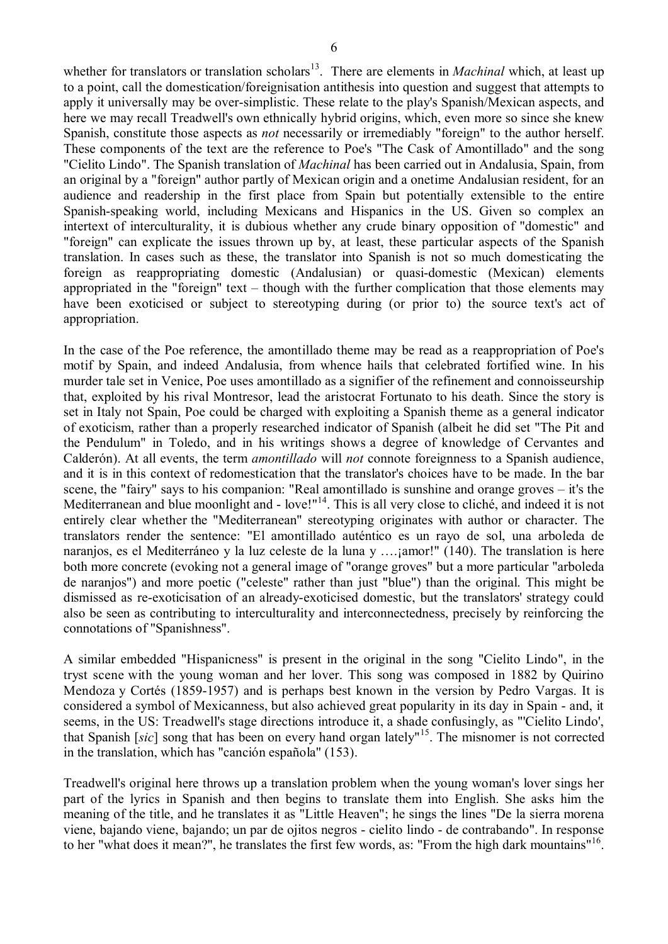whether for translators or translation scholars<sup>13</sup>. There are elements in *Machinal* which, at least up to a point, call the domestication/foreignisation antithesis into question and suggest that attempts to apply it universally may be over-simplistic. These relate to the play's Spanish/Mexican aspects, and here we may recall Treadwell's own ethnically hybrid origins, which, even more so since she knew Spanish, constitute those aspects as *not* necessarily or irremediably "foreign" to the author herself. These components of the text are the reference to Poe's "The Cask of Amontillado" and the song "Cielito Lindo". The Spanish translation of *Machinal* has been carried out in Andalusia, Spain, from an original by a "foreign" author partly of Mexican origin and a onetime Andalusian resident, for an audience and readership in the first place from Spain but potentially extensible to the entire Spanish-speaking world, including Mexicans and Hispanics in the US. Given so complex an intertext of interculturality, it is dubious whether any crude binary opposition of "domestic" and "foreign" can explicate the issues thrown up by, at least, these particular aspects of the Spanish translation. In cases such as these, the translator into Spanish is not so much domesticating the foreign as reappropriating domestic (Andalusian) or quasi-domestic (Mexican) elements appropriated in the "foreign" text – though with the further complication that those elements may have been exoticised or subject to stereotyping during (or prior to) the source text's act of appropriation.

In the case of the Poe reference, the amontillado theme may be read as a reappropriation of Poe's motif by Spain, and indeed Andalusia, from whence hails that celebrated fortified wine. In his murder tale set in Venice, Poe uses amontillado as a signifier of the refinement and connoisseurship that, exploited by his rival Montresor, lead the aristocrat Fortunato to his death. Since the story is set in Italy not Spain, Poe could be charged with exploiting a Spanish theme as a general indicator of exoticism, rather than a properly researched indicator of Spanish (albeit he did set "The Pit and the Pendulum" in Toledo, and in his writings shows a degree of knowledge of Cervantes and Calderón). At all events, the term *amontillado* will *not* connote foreignness to a Spanish audience, and it is in this context of redomestication that the translator's choices have to be made. In the bar scene, the "fairy" says to his companion: "Real amontillado is sunshine and orange groves – it's the Mediterranean and blue moonlight and - love!"<sup>14</sup>. This is all very close to cliché, and indeed it is not entirely clear whether the "Mediterranean" stereotyping originates with author or character. The translators render the sentence: "El amontillado auténtico es un rayo de sol, una arboleda de naranjos, es el Mediterráneo y la luz celeste de la luna y ….; amor!" (140). The translation is here both more concrete (evoking not a general image of "orange groves" but a more particular "arboleda de naranjos") and more poetic ("celeste" rather than just "blue") than the original. This might be dismissed as re-exoticisation of an already-exoticised domestic, but the translators' strategy could also be seen as contributing to interculturality and interconnectedness, precisely by reinforcing the connotations of "Spanishness".

A similar embedded "Hispanicness" is present in the original in the song "Cielito Lindo", in the tryst scene with the young woman and her lover. This song was composed in 1882 by Quirino Mendoza y Cortés (1859-1957) and is perhaps best known in the version by Pedro Vargas. It is considered a symbol of Mexicanness, but also achieved great popularity in its day in Spain - and, it seems, in the US: Treadwell's stage directions introduce it, a shade confusingly, as "'Cielito Lindo', that Spanish [*sic*] song that has been on every hand organ lately" <sup>15</sup>. The misnomer is not corrected in the translation, which has "canción española" (153).

Treadwell's original here throws up a translation problem when the young woman's lover sings her part of the lyrics in Spanish and then begins to translate them into English. She asks him the meaning of the title, and he translates it as "Little Heaven"; he sings the lines "De la sierra morena viene, bajando viene, bajando; un par de ojitos negros - cielito lindo - de contrabando". In response to her "what does it mean?", he translates the first few words, as: "From the high dark mountains"<sup>16</sup>.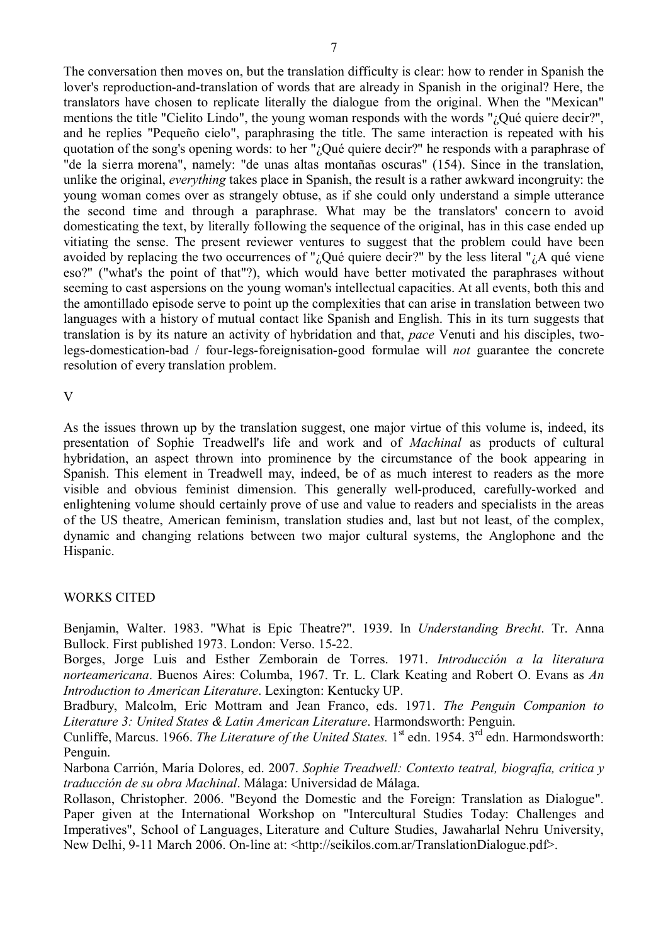The conversation then moves on, but the translation difficulty is clear: how to render in Spanish the lover's reproduction-and-translation of words that are already in Spanish in the original? Here, the translators have chosen to replicate literally the dialogue from the original. When the "Mexican" mentions the title "Cielito Lindo", the young woman responds with the words "¿Qué quiere decir?", and he replies "Pequeño cielo", paraphrasing the title. The same interaction is repeated with his quotation of the song's opening words: to her "¿Qué quiere decir?" he responds with a paraphrase of "de la sierra morena", namely: "de unas altas montañas oscuras" (154). Since in the translation, unlike the original, *everything* takes place in Spanish, the result is a rather awkward incongruity: the young woman comes over as strangely obtuse, as if she could only understand a simple utterance the second time and through a paraphrase. What may be the translators' concern to avoid domesticating the text, by literally following the sequence of the original, has in this case ended up vitiating the sense. The present reviewer ventures to suggest that the problem could have been avoided by replacing the two occurrences of " $\partial_{\mu}$ Qué quiere decir?" by the less literal " $\partial_{\mu}A$  qué viene eso?" ("what's the point of that"?), which would have better motivated the paraphrases without seeming to cast aspersions on the young woman's intellectual capacities. At all events, both this and the amontillado episode serve to point up the complexities that can arise in translation between two languages with a history of mutual contact like Spanish and English. This in its turn suggests that translation is by its nature an activity of hybridation and that, *pace* Venuti and his disciples, twolegs-domestication-bad / four-legs-foreignisation-good formulae will *not* guarantee the concrete resolution of every translation problem.

V

As the issues thrown up by the translation suggest, one major virtue of this volume is, indeed, its presentation of Sophie Treadwell's life and work and of *Machinal* as products of cultural hybridation, an aspect thrown into prominence by the circumstance of the book appearing in Spanish. This element in Treadwell may, indeed, be of as much interest to readers as the more visible and obvious feminist dimension. This generally well-produced, carefully-worked and enlightening volume should certainly prove of use and value to readers and specialists in the areas of the US theatre, American feminism, translation studies and, last but not least, of the complex, dynamic and changing relations between two major cultural systems, the Anglophone and the Hispanic.

## WORKS CITED

Benjamin, Walter. 1983. "What is Epic Theatre?". 1939. In *Understanding Brecht*. Tr. Anna Bullock. First published 1973. London: Verso. 15-22.

Borges, Jorge Luis and Esther Zemborain de Torres. 1971. *Introducción a la literatura norteamericana*. Buenos Aires: Columba, 1967. Tr. L. Clark Keating and Robert O. Evans as *An Introduction to American Literature*. Lexington: Kentucky UP.

Bradbury, Malcolm, Eric Mottram and Jean Franco, eds. 1971. *The Penguin Companion to Literature 3: United States & Latin American Literature*. Harmondsworth: Penguin.

Cunliffe, Marcus. 1966. *The Literature of the United States*. 1<sup>st</sup> edn. 1954. 3<sup>rd</sup> edn. Harmondsworth: Penguin.

Narbona Carrión, María Dolores, ed. 2007. *Sophie Treadwell: Contexto teatral, biografía, crítica y traducción de su obra Machinal*. Málaga: Universidad de Málaga.

Rollason, Christopher. 2006. "Beyond the Domestic and the Foreign: Translation as Dialogue". Paper given at the International Workshop on "Intercultural Studies Today: Challenges and Imperatives", School of Languages, Literature and Culture Studies, Jawaharlal Nehru University, New Delhi, 9-11 March 2006. On-line at: <http://seikilos.com.ar/TranslationDialogue.pdf>.